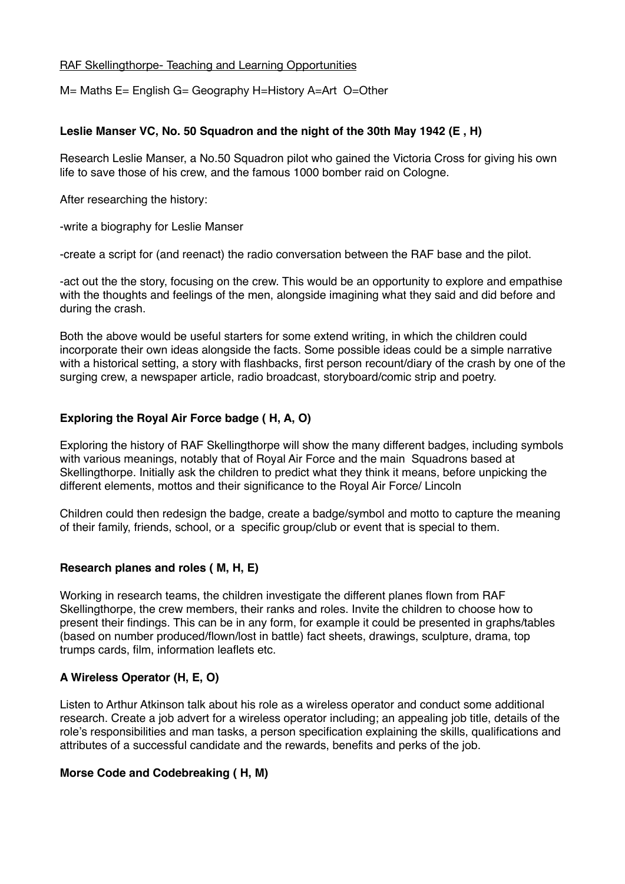#### RAF Skellingthorpe- Teaching and Learning Opportunities

M= Maths E= English G= Geography H=History A=Art O=Other

### **Leslie Manser VC, No. 50 Squadron and the night of the 30th May 1942 (E , H)**

Research Leslie Manser, a No.50 Squadron pilot who gained the Victoria Cross for giving his own life to save those of his crew, and the famous 1000 bomber raid on Cologne.

After researching the history:

-write a biography for Leslie Manser

-create a script for (and reenact) the radio conversation between the RAF base and the pilot.

-act out the the story, focusing on the crew. This would be an opportunity to explore and empathise with the thoughts and feelings of the men, alongside imagining what they said and did before and during the crash.

Both the above would be useful starters for some extend writing, in which the children could incorporate their own ideas alongside the facts. Some possible ideas could be a simple narrative with a historical setting, a story with flashbacks, first person recount/diary of the crash by one of the surging crew, a newspaper article, radio broadcast, storyboard/comic strip and poetry.

# **Exploring the Royal Air Force badge ( H, A, O)**

Exploring the history of RAF Skellingthorpe will show the many different badges, including symbols with various meanings, notably that of Royal Air Force and the main Squadrons based at Skellingthorpe. Initially ask the children to predict what they think it means, before unpicking the different elements, mottos and their significance to the Royal Air Force/ Lincoln

Children could then redesign the badge, create a badge/symbol and motto to capture the meaning of their family, friends, school, or a specific group/club or event that is special to them.

### **Research planes and roles ( M, H, E)**

Working in research teams, the children investigate the different planes flown from RAF Skellingthorpe, the crew members, their ranks and roles. Invite the children to choose how to present their findings. This can be in any form, for example it could be presented in graphs/tables (based on number produced/flown/lost in battle) fact sheets, drawings, sculpture, drama, top trumps cards, film, information leaflets etc.

### **A Wireless Operator (H, E, O)**

Listen to Arthur Atkinson talk about his role as a wireless operator and conduct some additional research. Create a job advert for a wireless operator including; an appealing job title, details of the role's responsibilities and man tasks, a person specification explaining the skills, qualifications and attributes of a successful candidate and the rewards, benefits and perks of the job.

### **Morse Code and Codebreaking ( H, M)**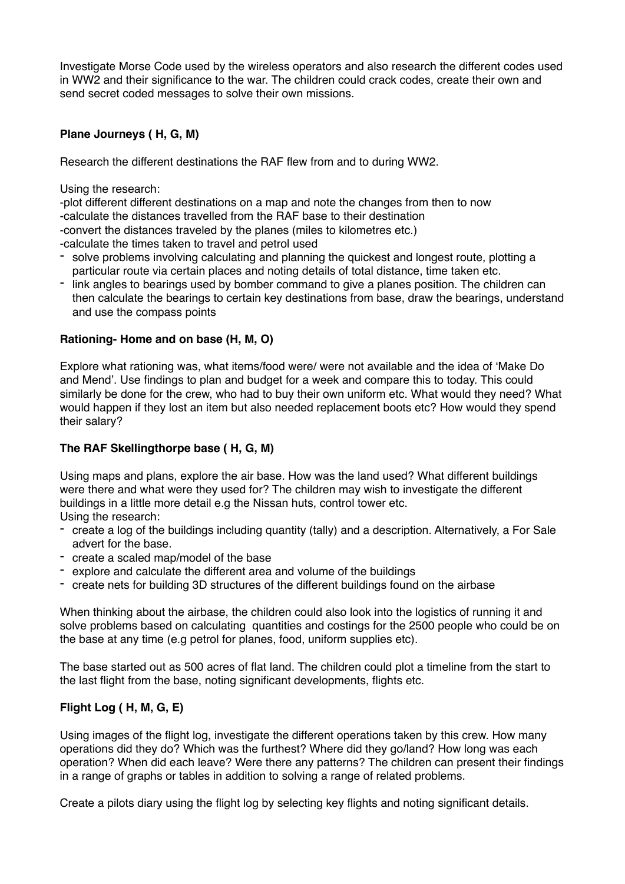Investigate Morse Code used by the wireless operators and also research the different codes used in WW2 and their significance to the war. The children could crack codes, create their own and send secret coded messages to solve their own missions.

# **Plane Journeys ( H, G, M)**

Research the different destinations the RAF flew from and to during WW2.

Using the research:

-plot different different destinations on a map and note the changes from then to now -calculate the distances travelled from the RAF base to their destination -convert the distances traveled by the planes (miles to kilometres etc.)

-calculate the times taken to travel and petrol used

- solve problems involving calculating and planning the quickest and longest route, plotting a particular route via certain places and noting details of total distance, time taken etc.
- link angles to bearings used by bomber command to give a planes position. The children can then calculate the bearings to certain key destinations from base, draw the bearings, understand and use the compass points

### **Rationing- Home and on base (H, M, O)**

Explore what rationing was, what items/food were/ were not available and the idea of 'Make Do and Mend'. Use findings to plan and budget for a week and compare this to today. This could similarly be done for the crew, who had to buy their own uniform etc. What would they need? What would happen if they lost an item but also needed replacement boots etc? How would they spend their salary?

## **The RAF Skellingthorpe base ( H, G, M)**

Using maps and plans, explore the air base. How was the land used? What different buildings were there and what were they used for? The children may wish to investigate the different buildings in a little more detail e.g the Nissan huts, control tower etc. Using the research:

- create a log of the buildings including quantity (tally) and a description. Alternatively, a For Sale advert for the base.
- create a scaled map/model of the base
- explore and calculate the different area and volume of the buildings
- create nets for building 3D structures of the different buildings found on the airbase

When thinking about the airbase, the children could also look into the logistics of running it and solve problems based on calculating quantities and costings for the 2500 people who could be on the base at any time (e.g petrol for planes, food, uniform supplies etc).

The base started out as 500 acres of flat land. The children could plot a timeline from the start to the last flight from the base, noting significant developments, flights etc.

### **Flight Log ( H, M, G, E)**

Using images of the flight log, investigate the different operations taken by this crew. How many operations did they do? Which was the furthest? Where did they go/land? How long was each operation? When did each leave? Were there any patterns? The children can present their findings in a range of graphs or tables in addition to solving a range of related problems.

Create a pilots diary using the flight log by selecting key flights and noting significant details.